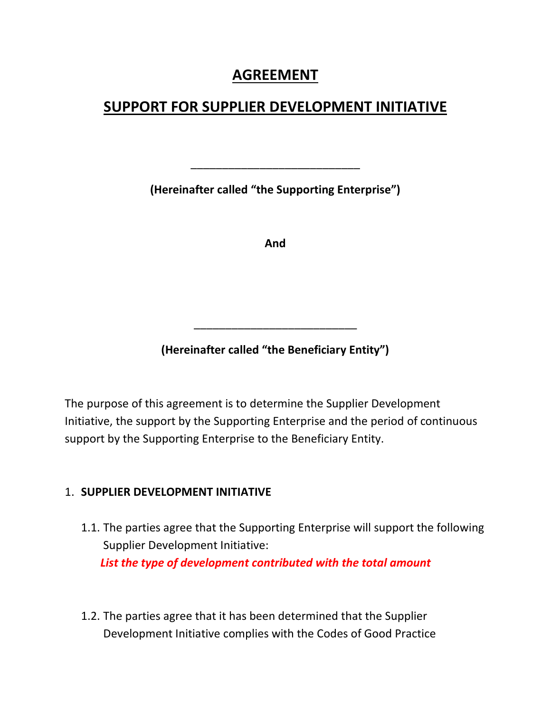# **AGREEMENT**

# **SUPPORT FOR SUPPLIER DEVELOPMENT INITIATIVE**

**(Hereinafter called "the Supporting Enterprise")**

\_\_\_\_\_\_\_\_\_\_\_\_\_\_\_\_\_\_\_\_\_\_\_\_\_\_\_

**And**

**(Hereinafter called "the Beneficiary Entity")**

\_\_\_\_\_\_\_\_\_\_\_\_\_\_\_\_\_\_\_\_\_\_\_\_\_\_

The purpose of this agreement is to determine the Supplier Development Initiative, the support by the Supporting Enterprise and the period of continuous support by the Supporting Enterprise to the Beneficiary Entity.

#### 1. **SUPPLIER DEVELOPMENT INITIATIVE**

- 1.1. The parties agree that the Supporting Enterprise will support the following Supplier Development Initiative: *List the type of development contributed with the total amount*
- 1.2. The parties agree that it has been determined that the Supplier Development Initiative complies with the Codes of Good Practice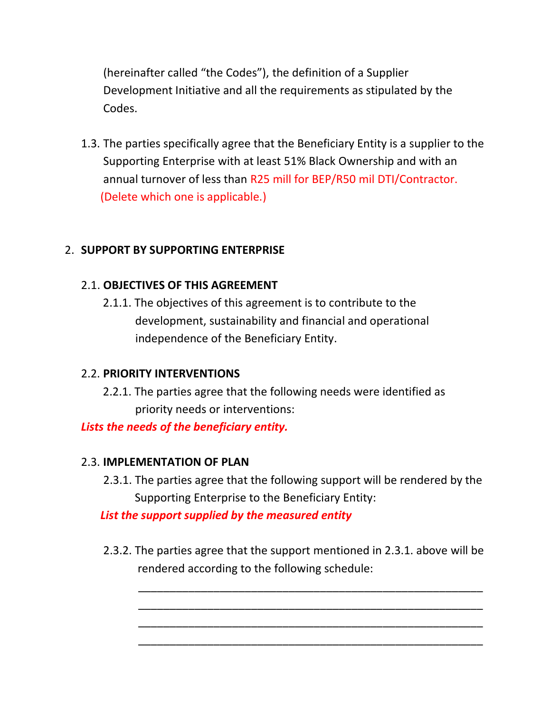(hereinafter called "the Codes"), the definition of a Supplier Development Initiative and all the requirements as stipulated by the Codes.

1.3. The parties specifically agree that the Beneficiary Entity is a supplier to the Supporting Enterprise with at least 51% Black Ownership and with an annual turnover of less than R25 mill for BEP/R50 mil DTI/Contractor. (Delete which one is applicable.)

## 2. **SUPPORT BY SUPPORTING ENTERPRISE**

## 2.1. **OBJECTIVES OF THIS AGREEMENT**

 2.1.1. The objectives of this agreement is to contribute to the development, sustainability and financial and operational independence of the Beneficiary Entity.

## 2.2. **PRIORITY INTERVENTIONS**

 2.2.1. The parties agree that the following needs were identified as priority needs or interventions:

*Lists the needs of the beneficiary entity.*

## 2.3. **IMPLEMENTATION OF PLAN**

2.3.1. The parties agree that the following support will be rendered by the Supporting Enterprise to the Beneficiary Entity:

*List the support supplied by the measured entity*

2.3.2. The parties agree that the support mentioned in 2.3.1. above will be rendered according to the following schedule:

 \_\_\_\_\_\_\_\_\_\_\_\_\_\_\_\_\_\_\_\_\_\_\_\_\_\_\_\_\_\_\_\_\_\_\_\_\_\_\_\_\_\_\_\_\_\_\_\_\_\_\_\_\_\_\_ \_\_\_\_\_\_\_\_\_\_\_\_\_\_\_\_\_\_\_\_\_\_\_\_\_\_\_\_\_\_\_\_\_\_\_\_\_\_\_\_\_\_\_\_\_\_\_\_\_\_\_\_\_\_\_ \_\_\_\_\_\_\_\_\_\_\_\_\_\_\_\_\_\_\_\_\_\_\_\_\_\_\_\_\_\_\_\_\_\_\_\_\_\_\_\_\_\_\_\_\_\_\_\_\_\_\_\_\_\_\_ \_\_\_\_\_\_\_\_\_\_\_\_\_\_\_\_\_\_\_\_\_\_\_\_\_\_\_\_\_\_\_\_\_\_\_\_\_\_\_\_\_\_\_\_\_\_\_\_\_\_\_\_\_\_\_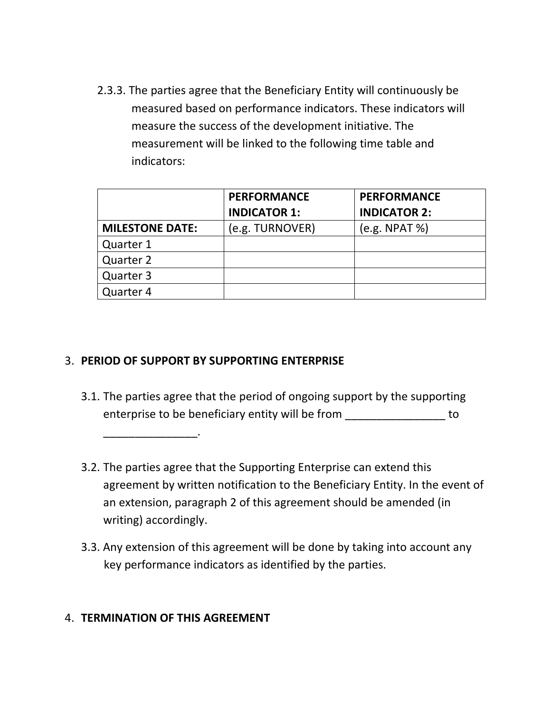2.3.3. The parties agree that the Beneficiary Entity will continuously be measured based on performance indicators. These indicators will measure the success of the development initiative. The measurement will be linked to the following time table and indicators:

|                        | <b>PERFORMANCE</b>  | <b>PERFORMANCE</b>  |
|------------------------|---------------------|---------------------|
|                        | <b>INDICATOR 1:</b> | <b>INDICATOR 2:</b> |
| <b>MILESTONE DATE:</b> | (e.g. TURNOVER)     | (e.g. NPAT %)       |
| Quarter 1              |                     |                     |
| Quarter 2              |                     |                     |
| Quarter 3              |                     |                     |
| Quarter 4              |                     |                     |

#### 3. **PERIOD OF SUPPORT BY SUPPORTING ENTERPRISE**

- 3.1. The parties agree that the period of ongoing support by the supporting enterprise to be beneficiary entity will be from to
- 3.2. The parties agree that the Supporting Enterprise can extend this agreement by written notification to the Beneficiary Entity. In the event of an extension, paragraph 2 of this agreement should be amended (in writing) accordingly.
- 3.3. Any extension of this agreement will be done by taking into account any key performance indicators as identified by the parties.

#### 4. **TERMINATION OF THIS AGREEMENT**

\_\_\_\_\_\_\_\_\_\_\_\_\_\_\_.